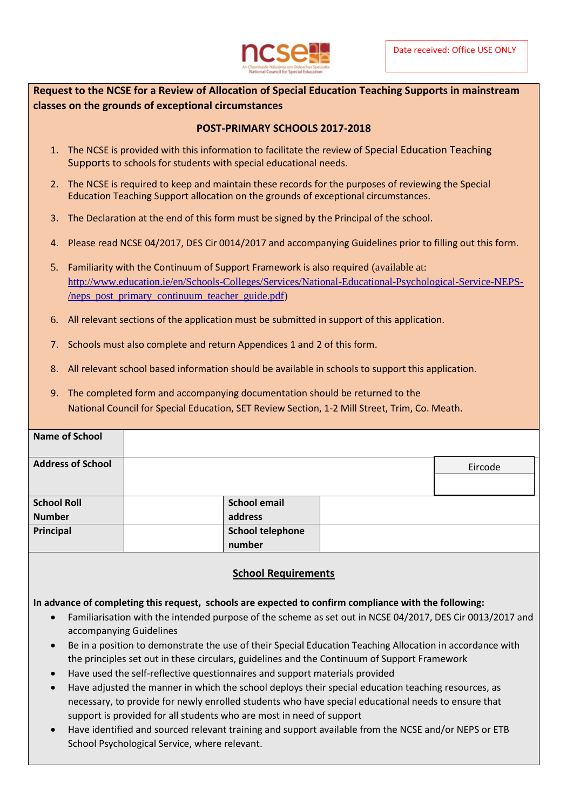

**Request to the NCSE for a Review of Allocation of Special Education Teaching Supports in mainstream classes on the grounds of exceptional circumstances**

## **POST-PRIMARY SCHOOLS 2017-2018**

- 1. The NCSE is provided with this information to facilitate the review of Special Education Teaching Supports to schools for students with special educational needs.
- 2. The NCSE is required to keep and maintain these records for the purposes of reviewing the Special Education Teaching Support allocation on the grounds of exceptional circumstances.
- 3. The Declaration at the end of this form must be signed by the Principal of the school.
- 4. Please read NCSE 04/2017, DES Cir 0014/2017 and accompanying Guidelines prior to filling out this form.
- 5. Familiarity with the Continuum of Support Framework is also required (available at: [http://www.education.ie/en/Schools-Colleges/Services/National-Educational-Psychological-Service-NEPS-](http://www.education.ie/en/Schools-Colleges/Services/National-Educational-Psychological-Service-NEPS-/neps_post_primary_continuum_teacher_guide.pdf) [/neps\\_post\\_primary\\_continuum\\_teacher\\_guide.pdf\)](http://www.education.ie/en/Schools-Colleges/Services/National-Educational-Psychological-Service-NEPS-/neps_post_primary_continuum_teacher_guide.pdf)
- 6. All relevant sections of the application must be submitted in support of this application.
- 7. Schools must also complete and return Appendices 1 and 2 of this form.
- 8. All relevant school based information should be available in schools to support this application.
- 9. The completed form and accompanying documentation should be returned to the National Council for Special Education, SET Review Section, 1-2 Mill Street, Trim, Co. Meath.

| <b>Name of School</b>    |                         |         |
|--------------------------|-------------------------|---------|
| <b>Address of School</b> |                         | Eircode |
|                          |                         |         |
|                          |                         |         |
| <b>School Roll</b>       | <b>School email</b>     |         |
| <b>Number</b>            | address                 |         |
| Principal                | <b>School telephone</b> |         |
|                          | number                  |         |

## **School Requirements**

## **In advance of completing this request, schools are expected to confirm compliance with the following:**

- Familiarisation with the intended purpose of the scheme as set out in NCSE 04/2017, DES Cir 0013/2017 and accompanying Guidelines
- Be in a position to demonstrate the use of their Special Education Teaching Allocation in accordance with the principles set out in these circulars, guidelines and the Continuum of Support Framework
- Have used the self-reflective questionnaires and support materials provided
- Have adjusted the manner in which the school deploys their special education teaching resources, as necessary, to provide for newly enrolled students who have special educational needs to ensure that support is provided for all students who are most in need of support
- Have identified and sourced relevant training and support available from the NCSE and/or NEPS or ETB School Psychological Service, where relevant.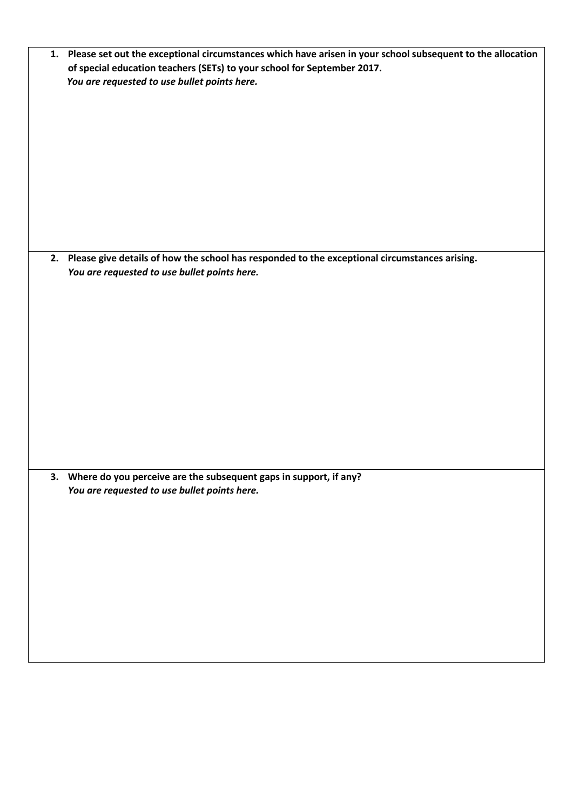| 1. Please set out the exceptional circumstances which have arisen in your school subsequent to the allocation |
|---------------------------------------------------------------------------------------------------------------|
| of special education teachers (SETs) to your school for September 2017.                                       |
| You are requested to use bullet points here.                                                                  |
|                                                                                                               |
|                                                                                                               |
|                                                                                                               |
|                                                                                                               |
|                                                                                                               |
|                                                                                                               |
|                                                                                                               |
|                                                                                                               |
|                                                                                                               |
|                                                                                                               |
|                                                                                                               |
|                                                                                                               |
|                                                                                                               |
|                                                                                                               |
| 2. Please give details of how the school has responded to the exceptional circumstances arising.              |
| You are requested to use bullet points here.                                                                  |
|                                                                                                               |
|                                                                                                               |
|                                                                                                               |
|                                                                                                               |
|                                                                                                               |
|                                                                                                               |
|                                                                                                               |
|                                                                                                               |
|                                                                                                               |
|                                                                                                               |
|                                                                                                               |
|                                                                                                               |
|                                                                                                               |
|                                                                                                               |
|                                                                                                               |
| 3. Where do you perceive are the subsequent gaps in support, if any?                                          |
| You are requested to use bullet points here.                                                                  |
|                                                                                                               |
|                                                                                                               |
|                                                                                                               |
|                                                                                                               |
|                                                                                                               |
|                                                                                                               |
|                                                                                                               |
|                                                                                                               |
|                                                                                                               |
|                                                                                                               |
|                                                                                                               |
|                                                                                                               |
|                                                                                                               |
|                                                                                                               |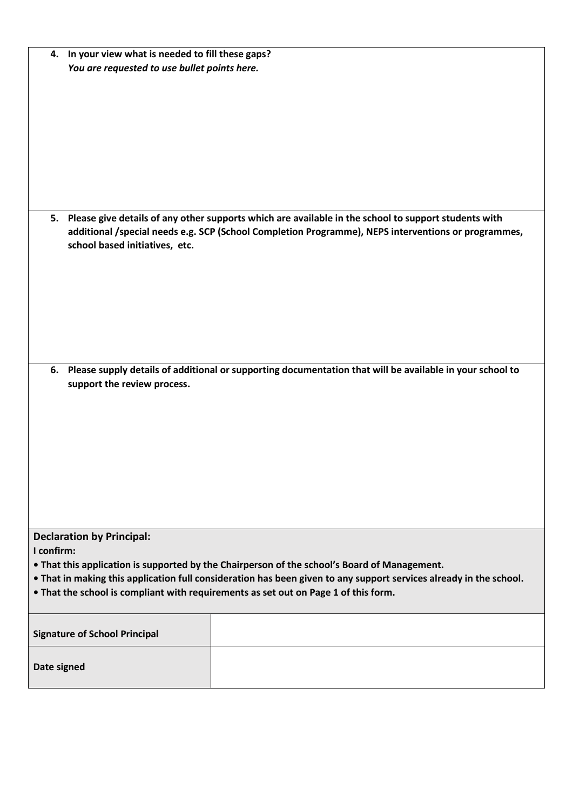| 4. In your view what is needed to fill these gaps?<br>You are requested to use bullet points here.                 |
|--------------------------------------------------------------------------------------------------------------------|
|                                                                                                                    |
|                                                                                                                    |
|                                                                                                                    |
|                                                                                                                    |
|                                                                                                                    |
|                                                                                                                    |
|                                                                                                                    |
|                                                                                                                    |
|                                                                                                                    |
|                                                                                                                    |
|                                                                                                                    |
|                                                                                                                    |
| 5. Please give details of any other supports which are available in the school to support students with            |
| additional /special needs e.g. SCP (School Completion Programme), NEPS interventions or programmes,                |
| school based initiatives, etc.                                                                                     |
|                                                                                                                    |
|                                                                                                                    |
|                                                                                                                    |
|                                                                                                                    |
|                                                                                                                    |
|                                                                                                                    |
|                                                                                                                    |
|                                                                                                                    |
|                                                                                                                    |
| 6. Please supply details of additional or supporting documentation that will be available in your school to        |
| support the review process.                                                                                        |
|                                                                                                                    |
|                                                                                                                    |
|                                                                                                                    |
|                                                                                                                    |
|                                                                                                                    |
|                                                                                                                    |
|                                                                                                                    |
|                                                                                                                    |
|                                                                                                                    |
|                                                                                                                    |
|                                                                                                                    |
| <b>Declaration by Principal:</b>                                                                                   |
| I confirm:                                                                                                         |
| • That this application is supported by the Chairperson of the school's Board of Management.                       |
| . That in making this application full consideration has been given to any support services already in the school. |
| . That the school is compliant with requirements as set out on Page 1 of this form.                                |
|                                                                                                                    |
|                                                                                                                    |
| <b>Signature of School Principal</b>                                                                               |
|                                                                                                                    |
|                                                                                                                    |
| Date signed                                                                                                        |
|                                                                                                                    |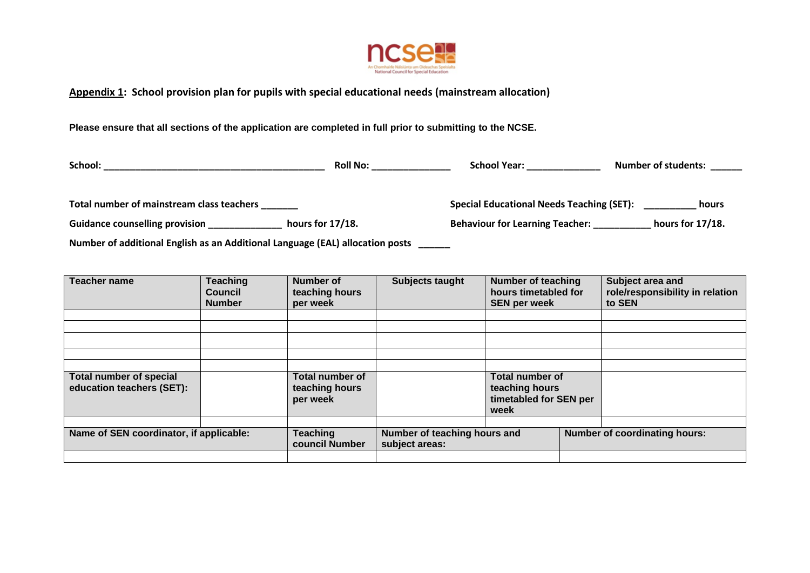

## **Appendix 1: School provision plan for pupils with special educational needs (mainstream allocation)**

**Please ensure that all sections of the application are completed in full prior to submitting to the NCSE.**

| School:                                                                       | <b>Roll No:</b>     | <b>School Year:</b>                              | <b>Number of students:</b> |  |  |  |  |  |
|-------------------------------------------------------------------------------|---------------------|--------------------------------------------------|----------------------------|--|--|--|--|--|
| Total number of mainstream class teachers                                     |                     | <b>Special Educational Needs Teaching (SET):</b> | hours                      |  |  |  |  |  |
| <b>Guidance counselling provision</b>                                         | hours for $17/18$ . | <b>Behaviour for Learning Teacher:</b>           | hours for $17/18$ .        |  |  |  |  |  |
| Number of additional English as an Additional Language (EAL) allocation posts |                     |                                                  |                            |  |  |  |  |  |

| <b>Teacher name</b>                                         | <b>Teaching</b><br><b>Council</b><br><b>Number</b> | Number of<br>teaching hours<br>per week              | Subjects taught                                | <b>Number of teaching</b><br>hours timetabled for<br><b>SEN per week</b>   |  | Subject area and<br>role/responsibility in relation<br>to SEN |  |
|-------------------------------------------------------------|----------------------------------------------------|------------------------------------------------------|------------------------------------------------|----------------------------------------------------------------------------|--|---------------------------------------------------------------|--|
|                                                             |                                                    |                                                      |                                                |                                                                            |  |                                                               |  |
|                                                             |                                                    |                                                      |                                                |                                                                            |  |                                                               |  |
|                                                             |                                                    |                                                      |                                                |                                                                            |  |                                                               |  |
|                                                             |                                                    |                                                      |                                                |                                                                            |  |                                                               |  |
|                                                             |                                                    |                                                      |                                                |                                                                            |  |                                                               |  |
| <b>Total number of special</b><br>education teachers (SET): |                                                    | <b>Total number of</b><br>teaching hours<br>per week |                                                | <b>Total number of</b><br>teaching hours<br>timetabled for SEN per<br>week |  |                                                               |  |
|                                                             |                                                    |                                                      |                                                |                                                                            |  |                                                               |  |
| Name of SEN coordinator, if applicable:                     |                                                    | <b>Teaching</b><br>council Number                    | Number of teaching hours and<br>subject areas: |                                                                            |  | <b>Number of coordinating hours:</b>                          |  |
|                                                             |                                                    |                                                      |                                                |                                                                            |  |                                                               |  |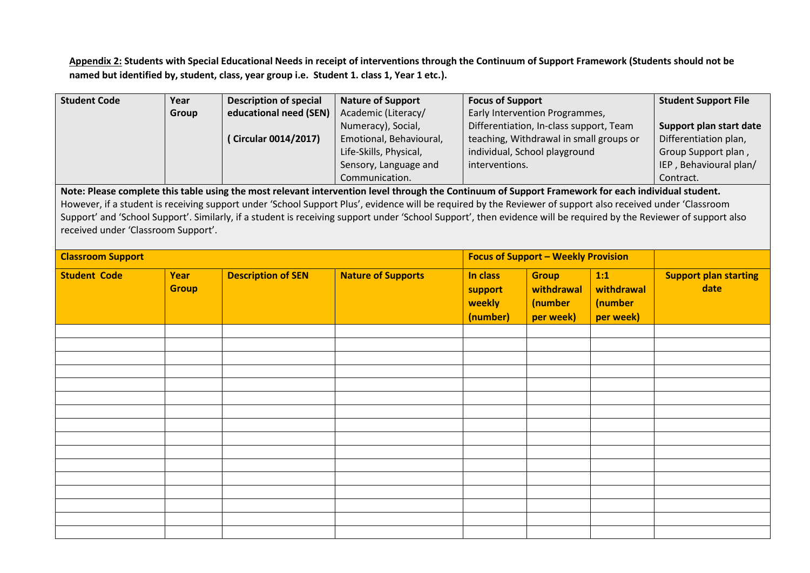**Appendix 2: Students with Special Educational Needs in receipt of interventions through the Continuum of Support Framework (Students should not be named but identified by, student, class, year group i.e. Student 1. class 1, Year 1 etc.).**

| <b>Student Code</b>                                                                                                                                         | Year                                                                                                                                                | <b>Description of special</b> | <b>Nature of Support</b>                                                                                                                                           | <b>Focus of Support</b>                 |                                            | <b>Student Support File</b> |                              |
|-------------------------------------------------------------------------------------------------------------------------------------------------------------|-----------------------------------------------------------------------------------------------------------------------------------------------------|-------------------------------|--------------------------------------------------------------------------------------------------------------------------------------------------------------------|-----------------------------------------|--------------------------------------------|-----------------------------|------------------------------|
|                                                                                                                                                             | Group                                                                                                                                               | educational need (SEN)        | Academic (Literacy/                                                                                                                                                | Early Intervention Programmes,          |                                            |                             |                              |
|                                                                                                                                                             |                                                                                                                                                     |                               | Numeracy), Social,                                                                                                                                                 | Differentiation, In-class support, Team |                                            |                             | Support plan start date      |
|                                                                                                                                                             |                                                                                                                                                     | (Circular 0014/2017)          | Emotional, Behavioural,                                                                                                                                            | teaching, Withdrawal in small groups or |                                            |                             | Differentiation plan,        |
|                                                                                                                                                             |                                                                                                                                                     |                               | Life-Skills, Physical,                                                                                                                                             |                                         | individual, School playground              |                             | Group Support plan,          |
|                                                                                                                                                             |                                                                                                                                                     |                               | Sensory, Language and                                                                                                                                              | interventions.                          |                                            |                             | IEP, Behavioural plan/       |
|                                                                                                                                                             |                                                                                                                                                     |                               | Communication.                                                                                                                                                     |                                         |                                            |                             | Contract.                    |
|                                                                                                                                                             | Note: Please complete this table using the most relevant intervention level through the Continuum of Support Framework for each individual student. |                               |                                                                                                                                                                    |                                         |                                            |                             |                              |
| However, if a student is receiving support under 'School Support Plus', evidence will be required by the Reviewer of support also received under 'Classroom |                                                                                                                                                     |                               |                                                                                                                                                                    |                                         |                                            |                             |                              |
|                                                                                                                                                             |                                                                                                                                                     |                               | Support' and 'School Support'. Similarly, if a student is receiving support under 'School Support', then evidence will be required by the Reviewer of support also |                                         |                                            |                             |                              |
| received under 'Classroom Support'.                                                                                                                         |                                                                                                                                                     |                               |                                                                                                                                                                    |                                         |                                            |                             |                              |
|                                                                                                                                                             |                                                                                                                                                     |                               |                                                                                                                                                                    |                                         |                                            |                             |                              |
| <b>Classroom Support</b>                                                                                                                                    |                                                                                                                                                     |                               |                                                                                                                                                                    |                                         | <b>Focus of Support - Weekly Provision</b> |                             |                              |
| <b>Student Code</b>                                                                                                                                         | <b>Year</b>                                                                                                                                         | <b>Description of SEN</b>     | <b>Nature of Supports</b>                                                                                                                                          | In class                                | <b>Group</b>                               | 1:1                         | <b>Support plan starting</b> |
|                                                                                                                                                             | <b>Group</b>                                                                                                                                        |                               |                                                                                                                                                                    | support                                 | withdrawal                                 | withdrawal                  | date                         |
|                                                                                                                                                             |                                                                                                                                                     |                               |                                                                                                                                                                    | weekly                                  | (number                                    | (number                     |                              |
|                                                                                                                                                             |                                                                                                                                                     |                               |                                                                                                                                                                    | (number)                                | per week)                                  | per week)                   |                              |
|                                                                                                                                                             |                                                                                                                                                     |                               |                                                                                                                                                                    |                                         |                                            |                             |                              |
|                                                                                                                                                             |                                                                                                                                                     |                               |                                                                                                                                                                    |                                         |                                            |                             |                              |
|                                                                                                                                                             |                                                                                                                                                     |                               |                                                                                                                                                                    |                                         |                                            |                             |                              |
|                                                                                                                                                             |                                                                                                                                                     |                               |                                                                                                                                                                    |                                         |                                            |                             |                              |
|                                                                                                                                                             |                                                                                                                                                     |                               |                                                                                                                                                                    |                                         |                                            |                             |                              |
|                                                                                                                                                             |                                                                                                                                                     |                               |                                                                                                                                                                    |                                         |                                            |                             |                              |
|                                                                                                                                                             |                                                                                                                                                     |                               |                                                                                                                                                                    |                                         |                                            |                             |                              |
|                                                                                                                                                             |                                                                                                                                                     |                               |                                                                                                                                                                    |                                         |                                            |                             |                              |
|                                                                                                                                                             |                                                                                                                                                     |                               |                                                                                                                                                                    |                                         |                                            |                             |                              |
|                                                                                                                                                             |                                                                                                                                                     |                               |                                                                                                                                                                    |                                         |                                            |                             |                              |
|                                                                                                                                                             |                                                                                                                                                     |                               |                                                                                                                                                                    |                                         |                                            |                             |                              |
|                                                                                                                                                             |                                                                                                                                                     |                               |                                                                                                                                                                    |                                         |                                            |                             |                              |
|                                                                                                                                                             |                                                                                                                                                     |                               |                                                                                                                                                                    |                                         |                                            |                             |                              |
|                                                                                                                                                             |                                                                                                                                                     |                               |                                                                                                                                                                    |                                         |                                            |                             |                              |
|                                                                                                                                                             |                                                                                                                                                     |                               |                                                                                                                                                                    |                                         |                                            |                             |                              |
|                                                                                                                                                             |                                                                                                                                                     |                               |                                                                                                                                                                    |                                         |                                            |                             |                              |